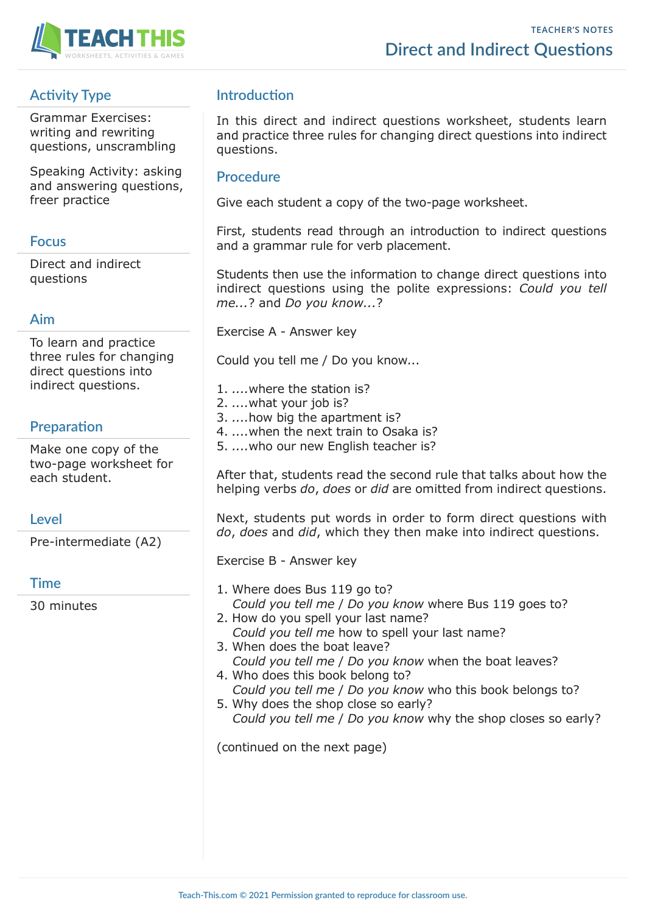

# **Activity Type**

Grammar Exercises: writing and rewriting questions, unscrambling

Speaking Activity: asking and answering questions, freer practice

## **Focus**

Direct and indirect questions

## **Aim**

To learn and practice three rules for changing direct questions into indirect questions.

# **Preparation**

Make one copy of the two-page worksheet for each student.

## **Level**

Pre-intermediate (A2)

## **Time**

30 minutes

# **Introduction**

In this direct and indirect questions worksheet, students learn and practice three rules for changing direct questions into indirect questions.

## **Procedure**

Give each student a copy of the two-page worksheet.

First, students read through an introduction to indirect questions and a grammar rule for verb placement.

Students then use the information to change direct questions into indirect questions using the polite expressions: *Could you tell me...*? and *Do you know...*?

Exercise A - Answer key

Could you tell me / Do you know...

- 1. *....*where the station is?
- 2. *....*what your job is?
- 3. *....*how big the apartment is?
- 4. *....*when the next train to Osaka is?
- 5. *....*who our new English teacher is?

After that, students read the second rule that talks about how the helping verbs *do*, *does* or *did* are omitted from indirect questions.

Next, students put words in order to form direct questions with *do*, *does* and *did*, which they then make into indirect questions.

Exercise B - Answer key

- 1. Where does Bus 119 go to? *Could you tell me* / *Do you know* where Bus 119 goes to?
- 2. How do you spell your last name? *Could you tell me* how to spell your last name?
- 3. When does the boat leave? *Could you tell me* / *Do you know* when the boat leaves?
- 4. Who does this book belong to? *Could you tell me* / *Do you know* who this book belongs to?
- 5. Why does the shop close so early? *Could you tell me* / *Do you know* why the shop closes so early?

(continued on the next page)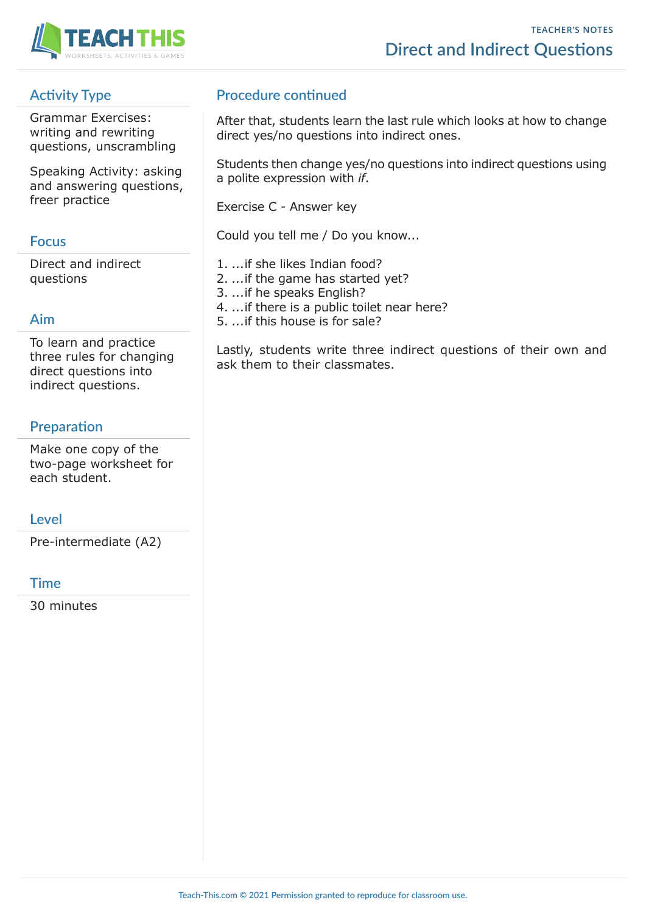

# **Activity Type**

Grammar Exercises: writing and rewriting questions, unscrambling

Speaking Activity: asking and answering questions, freer practice

# **Focus**

Direct and indirect questions

# **Aim**

To learn and practice three rules for changing direct questions into indirect questions.

# **Preparation**

Make one copy of the two-page worksheet for each student.

## **Level**

Pre-intermediate (A2)

## **Time**

30 minutes

# **Procedure continued**

After that, students learn the last rule which looks at how to change direct yes/no questions into indirect ones.

Students then change yes/no questions into indirect questions using a polite expression with *if*.

Exercise C - Answer key

Could you tell me / Do you know...

1. *...*if she likes Indian food?

2. *...*if the game has started yet?

- 3. *...*if he speaks English?
- 4. *...*if there is a public toilet near here?
- 5. *...*if this house is for sale?

Lastly, students write three indirect questions of their own and ask them to their classmates.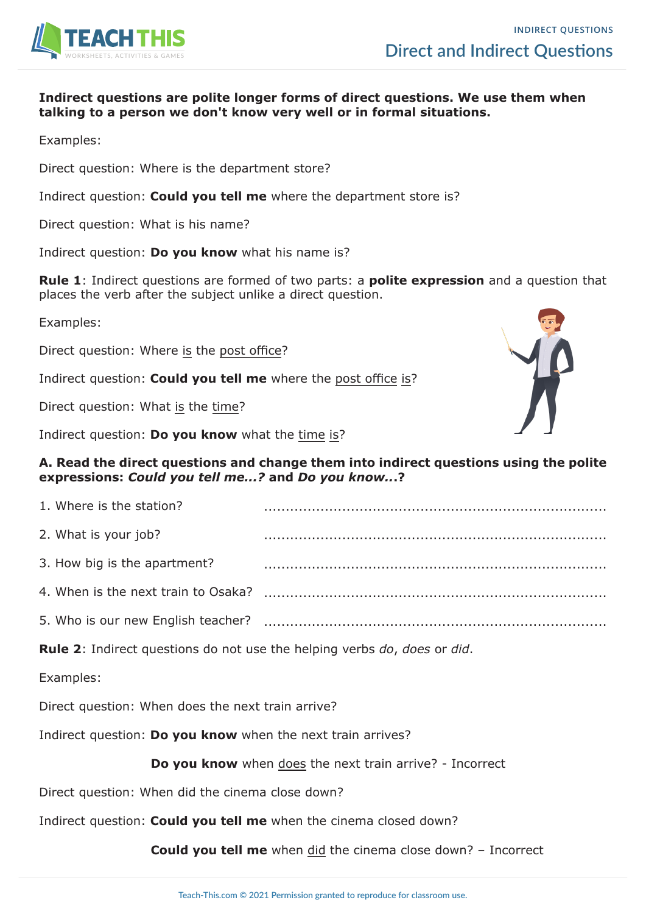

#### **Indirect questions are polite longer forms of direct questions. We use them when talking to a person we don't know very well or in formal situations.**

Examples:

Direct question: Where is the department store?

Indirect question: **Could you tell me** where the department store is?

Direct question: What is his name?

Indirect question: **Do you know** what his name is?

**Rule 1**: Indirect questions are formed of two parts: a **polite expression** and a question that places the verb after the subject unlike a direct question.

Examples:

Direct question: Where is the post office?

Indirect question: **Could you tell me** where the post office is?

Direct question: What is the time?

Indirect question: **Do you know** what the time is?

### **A. Read the direct questions and change them into indirect questions using the polite expressions:** *Could you tell me...?* **and** *Do you know..***.?**

| 1. Where is the station?            |  |
|-------------------------------------|--|
| 2. What is your job?                |  |
| 3. How big is the apartment?        |  |
| 4. When is the next train to Osaka? |  |
| 5. Who is our new English teacher?  |  |
|                                     |  |

**Rule 2**: Indirect questions do not use the helping verbs *do*, *does* or *did*.

Examples:

Direct question: When does the next train arrive?

Indirect question: **Do you know** when the next train arrives?

**Do you know** when does the next train arrive? - Incorrect

Direct question: When did the cinema close down?

Indirect question: **Could you tell me** when the cinema closed down?

**Could you tell me** when did the cinema close down? – Incorrect